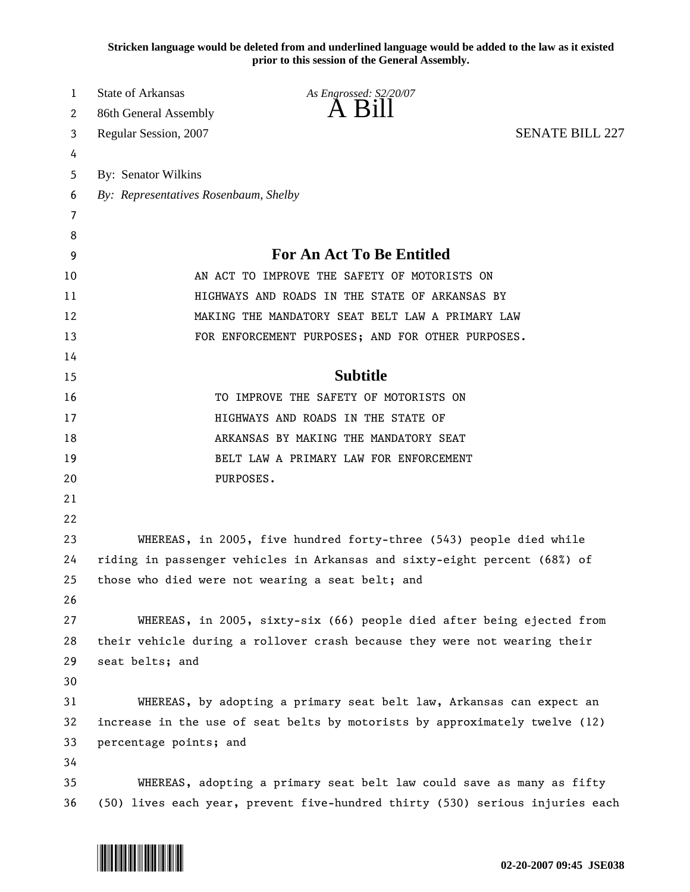**Stricken language would be deleted from and underlined language would be added to the law as it existed prior to this session of the General Assembly.**

| 1  | State of Arkansas                                                             | As Engrossed: S2/20/07                                                |                        |
|----|-------------------------------------------------------------------------------|-----------------------------------------------------------------------|------------------------|
| 2  | 86th General Assembly                                                         | A B111                                                                |                        |
| 3  | Regular Session, 2007                                                         |                                                                       | <b>SENATE BILL 227</b> |
| 4  |                                                                               |                                                                       |                        |
| 5  | By: Senator Wilkins                                                           |                                                                       |                        |
| 6  | By: Representatives Rosenbaum, Shelby                                         |                                                                       |                        |
| 7  |                                                                               |                                                                       |                        |
| 8  |                                                                               |                                                                       |                        |
| 9  | <b>For An Act To Be Entitled</b>                                              |                                                                       |                        |
| 10 |                                                                               | AN ACT TO IMPROVE THE SAFETY OF MOTORISTS ON                          |                        |
| 11 |                                                                               | HIGHWAYS AND ROADS IN THE STATE OF ARKANSAS BY                        |                        |
| 12 | MAKING THE MANDATORY SEAT BELT LAW A PRIMARY LAW                              |                                                                       |                        |
| 13 |                                                                               | FOR ENFORCEMENT PURPOSES; AND FOR OTHER PURPOSES.                     |                        |
| 14 |                                                                               |                                                                       |                        |
| 15 |                                                                               | <b>Subtitle</b>                                                       |                        |
| 16 |                                                                               | TO IMPROVE THE SAFETY OF MOTORISTS ON                                 |                        |
| 17 | HIGHWAYS AND ROADS IN THE STATE OF                                            |                                                                       |                        |
| 18 |                                                                               | ARKANSAS BY MAKING THE MANDATORY SEAT                                 |                        |
| 19 |                                                                               | BELT LAW A PRIMARY LAW FOR ENFORCEMENT                                |                        |
| 20 | PURPOSES.                                                                     |                                                                       |                        |
| 21 |                                                                               |                                                                       |                        |
| 22 |                                                                               |                                                                       |                        |
| 23 |                                                                               | WHEREAS, in 2005, five hundred forty-three (543) people died while    |                        |
| 24 | riding in passenger vehicles in Arkansas and sixty-eight percent (68%) of     |                                                                       |                        |
| 25 | those who died were not wearing a seat belt; and                              |                                                                       |                        |
| 26 |                                                                               |                                                                       |                        |
| 27 |                                                                               | WHEREAS, in 2005, sixty-six (66) people died after being ejected from |                        |
| 28 | their vehicle during a rollover crash because they were not wearing their     |                                                                       |                        |
| 29 | seat belts; and                                                               |                                                                       |                        |
| 30 |                                                                               |                                                                       |                        |
| 31 |                                                                               | WHEREAS, by adopting a primary seat belt law, Arkansas can expect an  |                        |
| 32 | increase in the use of seat belts by motorists by approximately twelve (12)   |                                                                       |                        |
| 33 | percentage points; and                                                        |                                                                       |                        |
| 34 |                                                                               |                                                                       |                        |
| 35 |                                                                               | WHEREAS, adopting a primary seat belt law could save as many as fifty |                        |
| 36 | (50) lives each year, prevent five-hundred thirty (530) serious injuries each |                                                                       |                        |

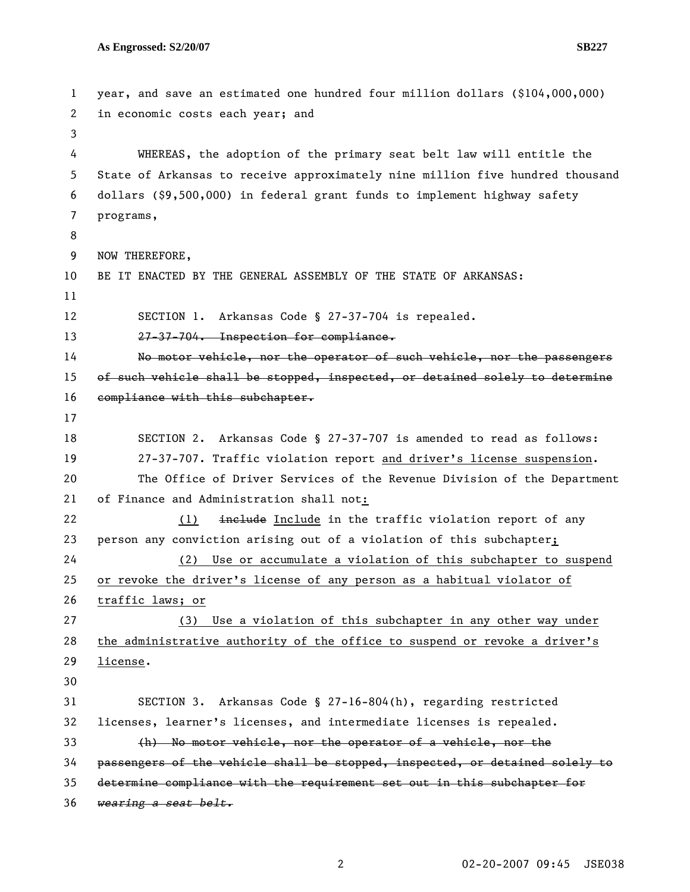```
1 year, and save an estimated one hundred four million dollars ($104,000,000) 
 2 in economic costs each year; and 
 3 
 4 WHEREAS, the adoption of the primary seat belt law will entitle the 
5 State of Arkansas to receive approximately nine million five hundred thousand 
6 dollars ($9,500,000) in federal grant funds to implement highway safety 
7 programs, 
8 
9 NOW THEREFORE, 
10 BE IT ENACTED BY THE GENERAL ASSEMBLY OF THE STATE OF ARKANSAS: 
11 
12 SECTION 1. Arkansas Code § 27-37-704 is repealed. 
13 27-37-704. Inspection for compliance.
14 No motor vehicle, nor the operator of such vehicle, nor the passengers 
15 of such vehicle shall be stopped, inspected, or detained solely to determine 
16 compliance with this subchapter.
17 
18 SECTION 2. Arkansas Code § 27-37-707 is amended to read as follows: 
19 27-37-707. Traffic violation report and driver's license suspension. 
20 The Office of Driver Services of the Revenue Division of the Department 
21 of Finance and Administration shall not:
22 (1) include Include in the traffic violation report of any
23 person any conviction arising out of a violation of this subchapter; 
24 (2) Use or accumulate a violation of this subchapter to suspend 
25 or revoke the driver's license of any person as a habitual violator of 
26 traffic laws; or
27 (3) Use a violation of this subchapter in any other way under 
28 the administrative authority of the office to suspend or revoke a driver's 
29 license. 
30 
31 SECTION 3. Arkansas Code § 27-16-804(h), regarding restricted 
32 licenses, learner's licenses, and intermediate licenses is repealed. 
33 (h) No motor vehicle, nor the operator of a vehicle, nor the 
34 passengers of the vehicle shall be stopped, inspected, or detained solely to 
35 determine compliance with the requirement set out in this subchapter for 
36 wearing a seat belt.
```